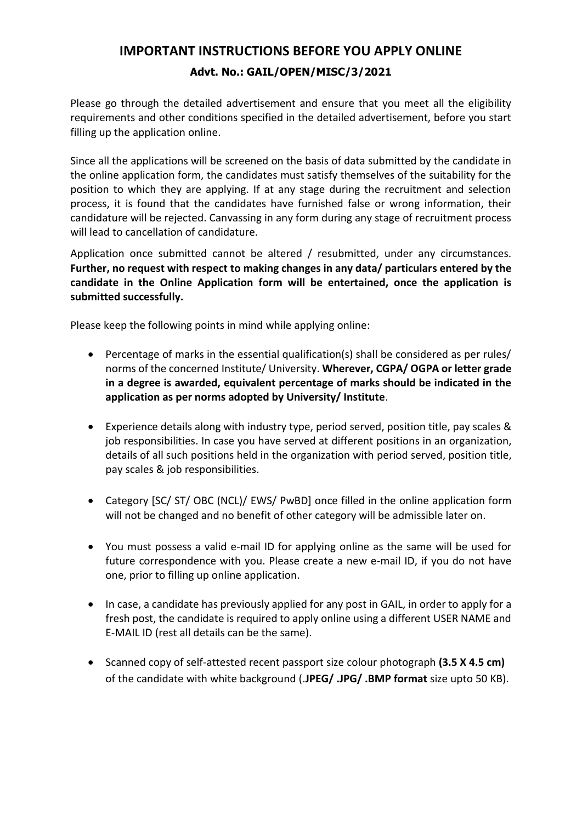## **IMPORTANT INSTRUCTIONS BEFORE YOU APPLY ONLINE Advt. No.: GAIL/OPEN/MISC/3/2021**

Please go through the detailed advertisement and ensure that you meet all the eligibility requirements and other conditions specified in the detailed advertisement, before you start filling up the application online.

Since all the applications will be screened on the basis of data submitted by the candidate in the online application form, the candidates must satisfy themselves of the suitability for the position to which they are applying. If at any stage during the recruitment and selection process, it is found that the candidates have furnished false or wrong information, their candidature will be rejected. Canvassing in any form during any stage of recruitment process will lead to cancellation of candidature.

Application once submitted cannot be altered / resubmitted, under any circumstances. **Further, no request with respect to making changes in any data/ particulars entered by the candidate in the Online Application form will be entertained, once the application is submitted successfully.**

Please keep the following points in mind while applying online:

- Percentage of marks in the essential qualification(s) shall be considered as per rules/ norms of the concerned Institute/ University. **Wherever, CGPA/ OGPA or letter grade in a degree is awarded, equivalent percentage of marks should be indicated in the application as per norms adopted by University/ Institute**.
- Experience details along with industry type, period served, position title, pay scales & job responsibilities. In case you have served at different positions in an organization, details of all such positions held in the organization with period served, position title, pay scales & job responsibilities.
- Category [SC/ ST/ OBC (NCL)/ EWS/ PwBD] once filled in the online application form will not be changed and no benefit of other category will be admissible later on.
- You must possess a valid e-mail ID for applying online as the same will be used for future correspondence with you. Please create a new e-mail ID, if you do not have one, prior to filling up online application.
- In case, a candidate has previously applied for any post in GAIL, in order to apply for a fresh post, the candidate is required to apply online using a different USER NAME and E-MAIL ID (rest all details can be the same).
- Scanned copy of self-attested recent passport size colour photograph **(3.5 X 4.5 cm)**  of the candidate with white background (.**JPEG/ .JPG/ .BMP format** size upto 50 KB).